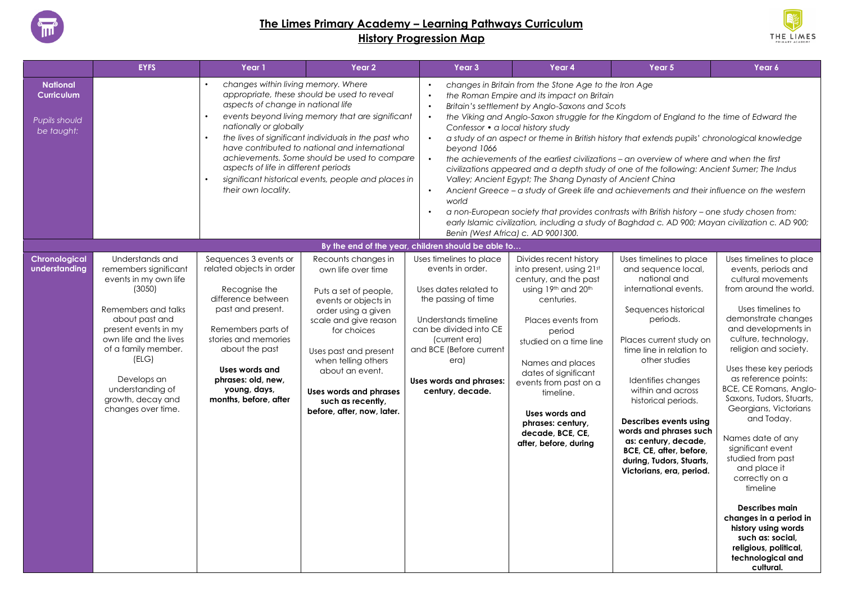

## **The Limes Primary Academy – Learning Pathways Curriculum History Progression Map**



|                                                                            | <b>EYFS</b>                                                                                                                                                                                                                                                                          | Year 1                                                                                                                                                                                                                                                         | Year 2                                                                                                                                                                                                                                                                                                           | Year 3                                                                                                                                                                                                                                           | Year 4                                                                                                                                                                                                                                                                                                                                           | Year 5                                                                                                                                                                                                                                                                                                                                                                                                                                                                                                                                                                                                                                                                                 | Year 6                                                                                                                                                                                                                                                                                                                                                                                                                                                                                                                                                                                                                                  |
|----------------------------------------------------------------------------|--------------------------------------------------------------------------------------------------------------------------------------------------------------------------------------------------------------------------------------------------------------------------------------|----------------------------------------------------------------------------------------------------------------------------------------------------------------------------------------------------------------------------------------------------------------|------------------------------------------------------------------------------------------------------------------------------------------------------------------------------------------------------------------------------------------------------------------------------------------------------------------|--------------------------------------------------------------------------------------------------------------------------------------------------------------------------------------------------------------------------------------------------|--------------------------------------------------------------------------------------------------------------------------------------------------------------------------------------------------------------------------------------------------------------------------------------------------------------------------------------------------|----------------------------------------------------------------------------------------------------------------------------------------------------------------------------------------------------------------------------------------------------------------------------------------------------------------------------------------------------------------------------------------------------------------------------------------------------------------------------------------------------------------------------------------------------------------------------------------------------------------------------------------------------------------------------------------|-----------------------------------------------------------------------------------------------------------------------------------------------------------------------------------------------------------------------------------------------------------------------------------------------------------------------------------------------------------------------------------------------------------------------------------------------------------------------------------------------------------------------------------------------------------------------------------------------------------------------------------------|
| <b>National</b><br><b>Curriculum</b><br><b>Pupils should</b><br>be taught: |                                                                                                                                                                                                                                                                                      | changes within living memory. Where<br>aspects of change in national life<br>nationally or globally<br>aspects of life in different periods<br>their own locality.                                                                                             | appropriate, these should be used to reveal<br>events beyond living memory that are significant<br>the lives of significant individuals in the past who<br>have contributed to national and international<br>achievements. Some should be used to compare<br>significant historical events, people and places in | $\bullet$<br>$\bullet$<br>$\bullet$<br>Confessor • a local history study<br>bevond 1066<br>$\bullet$<br>$\bullet$<br>world<br>$\bullet$                                                                                                          | changes in Britain from the Stone Age to the Iron Age<br>the Roman Empire and its impact on Britain<br>Britain's settlement by Anglo-Saxons and Scots<br>Valley; Ancient Egypt; The Shang Dynasty of Ancient China                                                                                                                               | the Viking and Anglo-Saxon struggle for the Kingdom of England to the time of Edward the<br>a study of an aspect or theme in British history that extends pupils' chronological knowledge<br>the achievements of the earliest civilizations – an overview of where and when the first<br>civilizations appeared and a depth study of one of the following: Ancient Sumer; The Indus<br>Ancient Greece - a study of Greek life and achievements and their influence on the western<br>a non-European society that provides contrasts with British history - one study chosen from:<br>early Islamic civilization, including a study of Baghdad c. AD 900; Mayan civilization c. AD 900; |                                                                                                                                                                                                                                                                                                                                                                                                                                                                                                                                                                                                                                         |
|                                                                            |                                                                                                                                                                                                                                                                                      |                                                                                                                                                                                                                                                                |                                                                                                                                                                                                                                                                                                                  | By the end of the year, children should be able to                                                                                                                                                                                               | Benin (West Africa) c. AD 9001300.                                                                                                                                                                                                                                                                                                               |                                                                                                                                                                                                                                                                                                                                                                                                                                                                                                                                                                                                                                                                                        |                                                                                                                                                                                                                                                                                                                                                                                                                                                                                                                                                                                                                                         |
| Chronological<br>understanding                                             | Understands and<br>remembers significant<br>events in my own life<br>(3050)<br>Remembers and talks<br>about past and<br>present events in my<br>own life and the lives<br>of a family member.<br>(ELG)<br>Develops an<br>understanding of<br>growth, decay and<br>changes over time. | Sequences 3 events or<br>related objects in order<br>Recognise the<br>difference between<br>past and present.<br>Remembers parts of<br>stories and memories<br>about the past<br>Uses words and<br>phrases: old, new,<br>young, days,<br>months, before, after | Recounts changes in<br>own life over time<br>Puts a set of people,<br>events or objects in<br>order using a given<br>scale and give reason<br>for choices<br>Uses past and present<br>when telling others<br>about an event.<br><b>Uses words and phrases</b><br>such as recently,<br>before, after, now, later. | Uses timelines to place<br>events in order.<br>Uses dates related to<br>the passing of time<br>Understands timeline<br>can be divided into CE<br>(current era)<br>and BCE (Before current<br>era)<br>Uses words and phrases:<br>century, decade. | Divides recent history<br>into present, using 21st<br>century, and the past<br>using 19th and 20th<br>centuries.<br>Places events from<br>period<br>studied on a time line<br>Names and places<br>dates of significant<br>events from past on a<br>timeline.<br>Uses words and<br>phrases: century,<br>decade, BCE, CE.<br>after, before, during | Uses timelines to place<br>and sequence local,<br>national and<br>international events.<br>Sequences historical<br>periods.<br>Places current study on<br>time line in relation to<br>other studies<br>Identifies changes<br>within and across<br>historical periods.<br>Describes events using<br>words and phrases such<br>as: century, decade,<br>BCE, CE, after, before,<br>during, Tudors, Stuarts,<br>Victorians, era, period.                                                                                                                                                                                                                                                   | Uses timelines to place<br>events, periods and<br>cultural movements<br>from around the world.<br>Uses timelines to<br>demonstrate changes<br>and developments in<br>culture, technology,<br>religion and society.<br>Uses these key periods<br>as reference points:<br>BCE, CE Romans, Anglo-<br>Saxons, Tudors, Stuarts,<br>Georgians, Victorians<br>and Today.<br>Names date of any<br>significant event<br>studied from past<br>and place it<br>correctly on a<br>timeline<br><b>Describes main</b><br>changes in a period in<br>history using words<br>such as: social,<br>religious, political,<br>technological and<br>cultural. |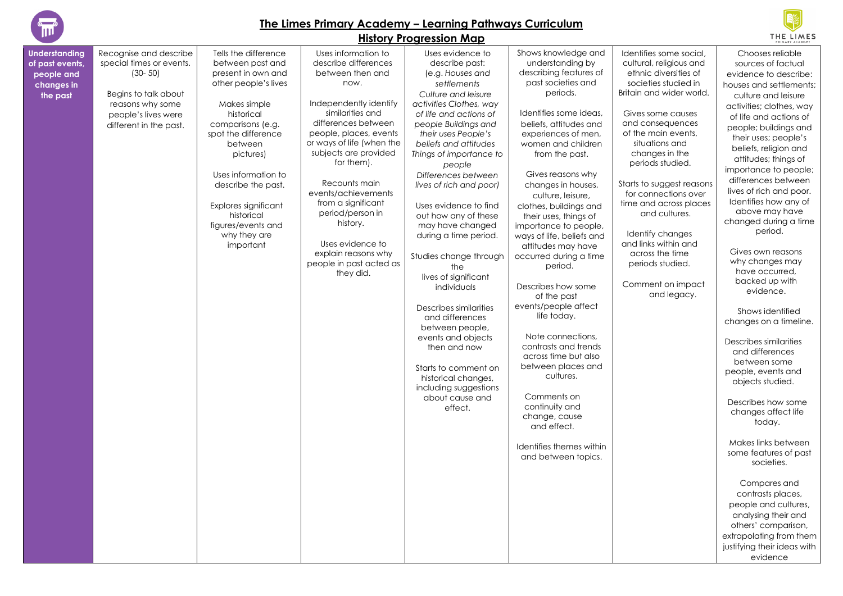

**of past events,** 

#### **The Limes Primary Academy – Learning Pathways Curriculum**



|                                                                                 |                                                                                                                                                                |                                                                                                                                                                                                                                                                                                                                |                                                                                                                                                                                                                                                                                                                                                                                                                             | <b>History Progression Map</b>                                                                                                                                                                                                                                                                                                                                                                                                                                                                                                                                                                                                                                                                     |                                                                                                                                                                                                                                                                                                                                                                                                                                                                                                                                                                                                                                                                                                                                                                    |                                                                                                                                                                                                                                                                                                                                                                                                                                                                                | <b>THE LIMES</b>                                                                                                                                                                                                                                                                                                                                                                                                                                                                                                                                                                                                                                                                                                                                                                                                                                                                                                                                                                        |
|---------------------------------------------------------------------------------|----------------------------------------------------------------------------------------------------------------------------------------------------------------|--------------------------------------------------------------------------------------------------------------------------------------------------------------------------------------------------------------------------------------------------------------------------------------------------------------------------------|-----------------------------------------------------------------------------------------------------------------------------------------------------------------------------------------------------------------------------------------------------------------------------------------------------------------------------------------------------------------------------------------------------------------------------|----------------------------------------------------------------------------------------------------------------------------------------------------------------------------------------------------------------------------------------------------------------------------------------------------------------------------------------------------------------------------------------------------------------------------------------------------------------------------------------------------------------------------------------------------------------------------------------------------------------------------------------------------------------------------------------------------|--------------------------------------------------------------------------------------------------------------------------------------------------------------------------------------------------------------------------------------------------------------------------------------------------------------------------------------------------------------------------------------------------------------------------------------------------------------------------------------------------------------------------------------------------------------------------------------------------------------------------------------------------------------------------------------------------------------------------------------------------------------------|--------------------------------------------------------------------------------------------------------------------------------------------------------------------------------------------------------------------------------------------------------------------------------------------------------------------------------------------------------------------------------------------------------------------------------------------------------------------------------|-----------------------------------------------------------------------------------------------------------------------------------------------------------------------------------------------------------------------------------------------------------------------------------------------------------------------------------------------------------------------------------------------------------------------------------------------------------------------------------------------------------------------------------------------------------------------------------------------------------------------------------------------------------------------------------------------------------------------------------------------------------------------------------------------------------------------------------------------------------------------------------------------------------------------------------------------------------------------------------------|
| <b>Understanding</b><br>of past events,<br>people and<br>changes in<br>the past | Recognise and describe<br>special times or events.<br>$(30 - 50)$<br>Begins to talk about<br>reasons why some<br>people's lives were<br>different in the past. | Tells the difference<br>between past and<br>present in own and<br>other people's lives<br>Makes simple<br>historical<br>comparisons (e.g.<br>spot the difference<br>between<br>pictures)<br>Uses information to<br>describe the past.<br>Explores significant<br>historical<br>figures/events and<br>why they are<br>important | Uses information to<br>describe differences<br>between then and<br>now.<br>Independently identify<br>similarities and<br>differences between<br>people, places, events<br>or ways of life (when the<br>subjects are provided<br>for them).<br>Recounts main<br>events/achievements<br>from a significant<br>period/person in<br>history.<br>Uses evidence to<br>explain reasons why<br>people in past acted as<br>they did. | Uses evidence to<br>describe past:<br>(e.g. Houses and<br>settlements<br>Culture and leisure<br>activities Clothes, way<br>of life and actions of<br>people Buildings and<br>their uses People's<br>beliefs and attitudes<br>Things of importance to<br>people<br>Differences between<br>lives of rich and poor)<br>Uses evidence to find<br>out how any of these<br>may have changed<br>during a time period.<br>Studies change through<br>the<br>lives of significant<br>individuals<br>Describes similarities<br>and differences<br>between people,<br>events and objects<br>then and now<br>Starts to comment on<br>historical changes,<br>including suggestions<br>about cause and<br>effect. | Shows knowledge and<br>understanding by<br>describing features of<br>past societies and<br>periods.<br>Identifies some ideas,<br>beliefs, attitudes and<br>experiences of men,<br>women and children<br>from the past.<br>Gives reasons why<br>changes in houses,<br>culture, leisure,<br>clothes, buildings and<br>their uses, things of<br>importance to people,<br>ways of life, beliefs and<br>attitudes may have<br>occurred during a time<br>period.<br>Describes how some<br>of the past<br>events/people affect<br>life today.<br>Note connections,<br>contrasts and trends<br>across time but also<br>between places and<br>cultures.<br>Comments on<br>continuity and<br>change, cause<br>and effect.<br>Identifies themes within<br>and between topics. | Identifies some social.<br>cultural, religious and<br>ethnic diversities of<br>societies studied in<br>Britain and wider world.<br>Gives some causes<br>and consequences<br>of the main events,<br>situations and<br>changes in the<br>periods studied.<br>Starts to suggest reasons<br>for connections over<br>time and across places<br>and cultures.<br>Identify changes<br>and links within and<br>across the time<br>periods studied.<br>Comment on impact<br>and legacy. | Chooses reliable<br>sources of factual<br>evidence to describe:<br>houses and settlements;<br>culture and leisure<br>activities; clothes, way<br>of life and actions of<br>people; buildings and<br>their uses; people's<br>beliefs, religion and<br>attitudes; things of<br>importance to people;<br>differences between<br>lives of rich and poor.<br>Identifies how any of<br>above may have<br>changed during a time<br>period.<br>Gives own reasons<br>why changes may<br>have occurred.<br>backed up with<br>evidence.<br>Shows identified<br>changes on a timeline.<br>Describes similarities<br>and differences<br>between some<br>people, events and<br>objects studied.<br>Describes how some<br>changes affect life<br>today.<br>Makes links between<br>some features of past<br>societies.<br>Compares and<br>contrasts places,<br>people and cultures,<br>analysing their and<br>others' comparison,<br>extrapolating from them<br>justifying their ideas with<br>evidence |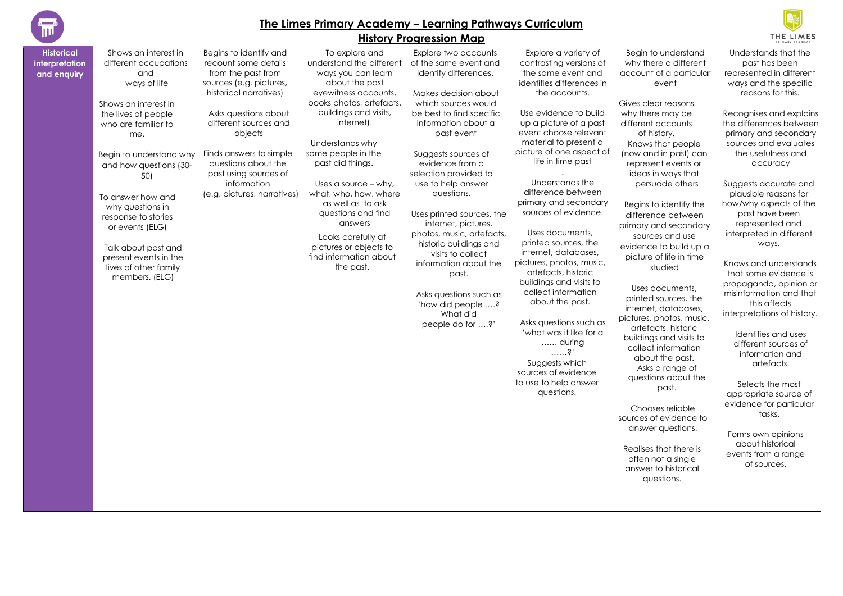

#### **The Limes Primary Academy – Learning Pathways Curriculum History Progression Map**



#### **Historical interpretation and enquiry** Shows an interest in different occupations and ways of life Shows an interest in the lives of people who are familiar to me. Begin to understand why and how questions (30- 50) To answer how and why questions in response to stories or events (ELG) Talk about past and present events in the lives of other family members. (ELG) Begins to identify and recount some details from the past from sources (e.g. pictures, historical narratives) Asks questions about different sources and objects Finds answers to simple questions about the past using sources of information (e.g. pictures, narratives) To explore and understand the different ways you can learn about the past eyewitness accounts, books photos, artefacts, buildings and visits, internet). Understands why some people in the past did things. Uses a source – why, what, who, how, where as well as to ask questions and find answers Looks carefully at pictures or objects to find information about the past. Explore two accounts of the same event and identify differences. Makes decision about which sources would be best to find specific information about a past event Suggests sources of evidence from a selection provided to use to help answer questions. Uses printed sources, the internet, pictures, photos, music, artefacts, historic buildings and visits to collect information about the past. Asks questions such as 'how did people ….? What did people do for ….?' Explore a variety of contrasting versions of the same event and identifies differences in the accounts. Use evidence to build up a picture of a past event choose relevant material to present a picture of one aspect of life in time past . Understands the difference between primary and secondary sources of evidence. Uses documents, printed sources, the internet, databases, pictures, photos, music, artefacts, historic buildings and visits to collect information about the past. Asks questions such as 'what was it like for a …… during ……?' Suggests which sources of evidence to use to help answer questions. Begin to understand why there a different account of a particular event Gives clear reasons why there may be different accounts of history. Knows that people (now and in past) can represent events or ideas in ways that persuade others Begins to identify the difference between primary and secondary sources and use evidence to build up a picture of life in time studied Uses documents, printed sources, the internet, databases, pictures, photos, music, artefacts, historic buildings and visits to collect information about the past. Asks a range of questions about the past. Chooses reliable sources of evidence to answer questions. Realises that there is often not a single answer to historical questions. Understands that the past has been represented in different ways and the specific reasons for this. Recognises and explains the differences between primary and secondary sources and evaluates the usefulness and accuracy Suggests accurate and plausible reasons for how/why aspects of the past have been represented and interpreted in different ways. Knows and understands that some evidence is propaganda, opinion or misinformation and that this affects interpretations of history. Identifies and uses different sources of information and artefacts. Selects the most appropriate source of evidence for particular tasks. Forms own opinions about historical events from a range of sources.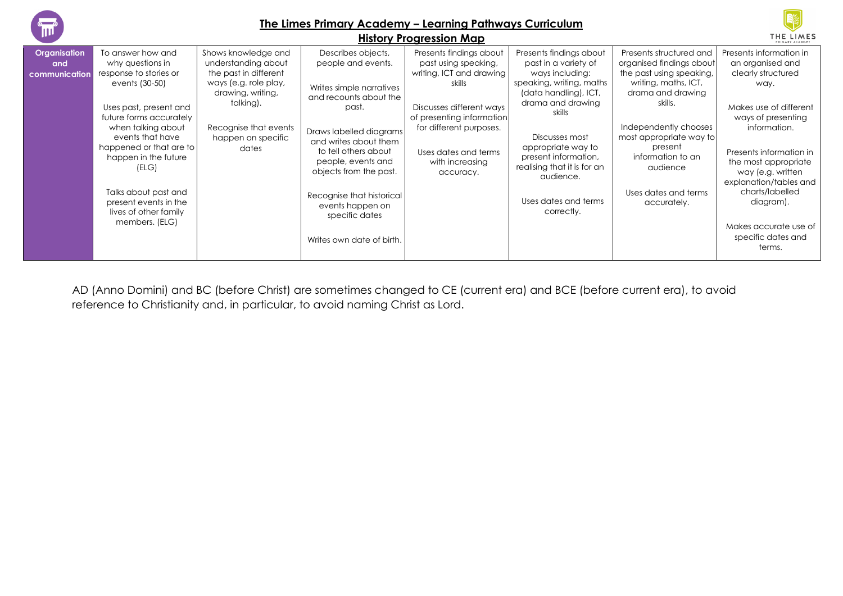| 1m)                                         | The Limes Primary Academy - Learning Pathways Curriculum<br><b>History Progression Map</b>                                                                                                                                                                                                                                               |                                                                                                                                                                                        |                                                                                                                                                                                                                                                                                                                                     |                                                                                                                                                                                                                                   |                                                                                                                                                                                                                                                                                                          | THE LIMES                                                                                                                                                                                                                                                                      |                                                                                                                                                                                                                                                                                                                                      |
|---------------------------------------------|------------------------------------------------------------------------------------------------------------------------------------------------------------------------------------------------------------------------------------------------------------------------------------------------------------------------------------------|----------------------------------------------------------------------------------------------------------------------------------------------------------------------------------------|-------------------------------------------------------------------------------------------------------------------------------------------------------------------------------------------------------------------------------------------------------------------------------------------------------------------------------------|-----------------------------------------------------------------------------------------------------------------------------------------------------------------------------------------------------------------------------------|----------------------------------------------------------------------------------------------------------------------------------------------------------------------------------------------------------------------------------------------------------------------------------------------------------|--------------------------------------------------------------------------------------------------------------------------------------------------------------------------------------------------------------------------------------------------------------------------------|--------------------------------------------------------------------------------------------------------------------------------------------------------------------------------------------------------------------------------------------------------------------------------------------------------------------------------------|
| <b>Organisation</b><br>and<br>communication | To answer how and<br>why questions in<br>response to stories or<br>events (30-50)<br>Uses past, present and<br>future forms accurately<br>when talking about<br>events that have<br>happened or that are to<br>happen in the future<br>(ELG)<br>Talks about past and<br>present events in the<br>lives of other family<br>members. (ELG) | Shows knowledge and<br>understanding about<br>the past in different<br>ways (e.g. role play,<br>drawing, writing,<br>talking).<br>Recognise that events<br>happen on specific<br>dates | Describes objects,<br>people and events.<br>Writes simple narratives<br>and recounts about the<br>past.<br>Draws labelled diagrams<br>and writes about them<br>to tell others about<br>people, events and<br>objects from the past.<br>Recognise that historical<br>events happen on<br>specific dates<br>Writes own date of birth. | Presents findings about<br>past using speaking,<br>writing, ICT and drawing<br>skills<br>Discusses different ways<br>of presenting information<br>for different purposes.<br>Uses dates and terms<br>with increasing<br>accuracy. | Presents findings about<br>past in a variety of<br>ways including:<br>speaking, writing, maths<br>(data handling), ICT,<br>drama and drawing<br>skills<br>Discusses most<br>appropriate way to<br>present information,<br>realising that it is for an<br>audience.<br>Uses dates and terms<br>correctly. | Presents structured and<br>organised findings about<br>the past using speaking,<br>writing, maths, ICT,<br>drama and drawing<br>skills.<br>Independently chooses<br>most appropriate way to<br>present<br>information to an<br>audience<br>Uses dates and terms<br>accurately. | Presents information in<br>an organised and<br>clearly structured<br>way.<br>Makes use of different<br>ways of presenting<br>information.<br>Presents information in<br>the most appropriate<br>way (e.g. written<br>explanation/tables and<br>charts/labelled<br>diagram).<br>Makes accurate use of<br>specific dates and<br>terms. |

AD (Anno Domini) and BC (before Christ) are sometimes changed to CE (current era) and BCE (before current era), to avoid reference to Christianity and, in particular, to avoid naming Christ as Lord.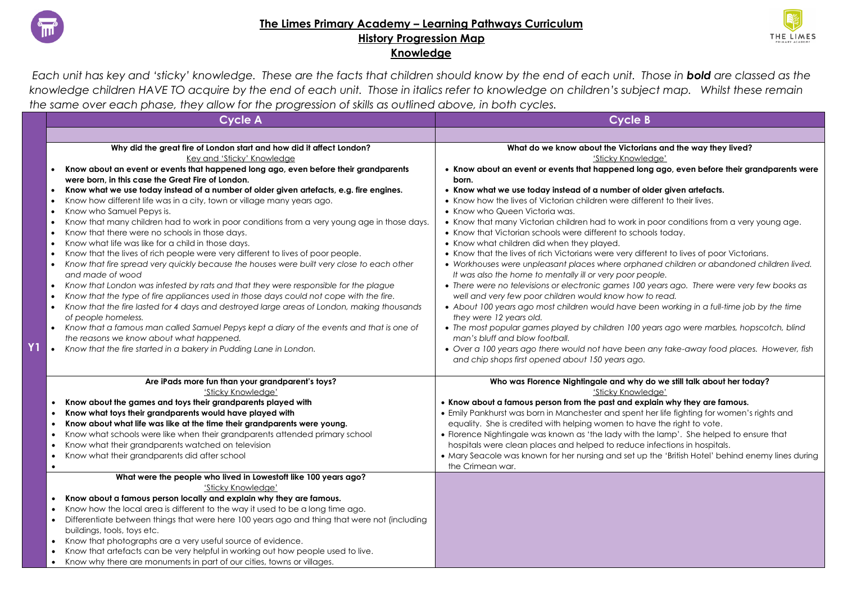

### **The Limes Primary Academy – Learning Pathways Curriculum History Progression Map Knowledge**



*Each unit has key and 'sticky' knowledge. These are the facts that children should know by the end of each unit. Those in bold are classed as the knowledge children HAVE TO acquire by the end of each unit. Those in italics refer to knowledge on children's subject map. Whilst these remain the same over each phase, they allow for the progression of skills as outlined above, in both cycles.* 

| <b>Cycle A</b>                                                                                                             | <b>Cycle B</b>                                                                                                                                        |
|----------------------------------------------------------------------------------------------------------------------------|-------------------------------------------------------------------------------------------------------------------------------------------------------|
|                                                                                                                            |                                                                                                                                                       |
| Why did the great fire of London start and how did it affect London?<br>Key and 'Sticky' Knowledge                         | What do we know about the Victorians and the way they lived?<br>'Sticky Knowledge'                                                                    |
| Know about an event or events that happened long ago, even before their grandparents                                       | • Know about an event or events that happened long ago, even before their grandparents were                                                           |
| were born, in this case the Great Fire of London.                                                                          | born.                                                                                                                                                 |
| Know what we use today instead of a number of older given artefacts, e.g. fire engines.<br>$\bullet$                       | • Know what we use today instead of a number of older given artefacts.                                                                                |
| Know how different life was in a city, town or village many years ago.                                                     | • Know how the lives of Victorian children were different to their lives.                                                                             |
| Know who Samuel Pepys is.<br>$\bullet$                                                                                     | • Know who Queen Victoria was.                                                                                                                        |
| Know that many children had to work in poor conditions from a very young age in those days.                                | • Know that many Victorian children had to work in poor conditions from a very young age.                                                             |
| Know that there were no schools in those days.<br>$\bullet$                                                                | • Know that Victorian schools were different to schools today.                                                                                        |
| Know what life was like for a child in those days.                                                                         | • Know what children did when they played.                                                                                                            |
| Know that the lives of rich people were very different to lives of poor people.                                            | • Know that the lives of rich Victorians were very different to lives of poor Victorians.                                                             |
| Know that fire spread very quickly because the houses were built very close to each other<br>$\bullet$<br>and made of wood | • Workhouses were unpleasant places where orphaned children or abandoned children lived.<br>It was also the home to mentally ill or very poor people. |
| Know that London was infested by rats and that they were responsible for the plague<br>$\bullet$                           | • There were no televisions or electronic games 100 years ago. There were very few books as                                                           |
| Know that the type of fire appliances used in those days could not cope with the fire.                                     | well and very few poor children would know how to read.                                                                                               |
| Know that the fire lasted for 4 days and destroyed large areas of London, making thousands<br>$\bullet$                    | • About 100 years ago most children would have been working in a full-time job by the time                                                            |
| of people homeless.                                                                                                        | they were 12 years old.                                                                                                                               |
| Know that a famous man called Samuel Pepys kept a diary of the events and that is one of<br>$\bullet$                      | • The most popular games played by children 100 years ago were marbles, hopscotch, blind                                                              |
| the reasons we know about what happened.                                                                                   | man's bluff and blow football.                                                                                                                        |
| • Know that the fire started in a bakery in Pudding Lane in London.                                                        | • Over a 100 years ago there would not have been any take-away food places. However, fish<br>and chip shops first opened about 150 years ago.         |
| Are iPads more fun than your grandparent's toys?<br>'Sticky Knowledge'                                                     | Who was Florence Nightingale and why do we still talk about her today?<br>'Sticky Knowledge'                                                          |
| Know about the games and toys their grandparents played with                                                               | . Know about a famous person from the past and explain why they are famous.                                                                           |
| Know what toys their grandparents would have played with                                                                   | • Emily Pankhurst was born in Manchester and spent her life fighting for women's rights and                                                           |
| Know about what life was like at the time their grandparents were young.<br>٠                                              | equality. She is credited with helping women to have the right to vote.                                                                               |
| Know what schools were like when their grandparents attended primary school                                                | • Florence Nightingale was known as 'the lady with the lamp'. She helped to ensure that                                                               |
| Know what their grandparents watched on television                                                                         | hospitals were clean places and helped to reduce infections in hospitals.                                                                             |
| Know what their grandparents did after school                                                                              | • Mary Seacole was known for her nursing and set up the 'British Hotel' behind enemy lines during                                                     |
| $\bullet$                                                                                                                  | the Crimean war.                                                                                                                                      |
| What were the people who lived in Lowestoft like 100 years ago?                                                            |                                                                                                                                                       |
| 'Sticky Knowledge'                                                                                                         |                                                                                                                                                       |
| Know about a famous person locally and explain why they are famous.                                                        |                                                                                                                                                       |
| Know how the local area is different to the way it used to be a long time ago.                                             |                                                                                                                                                       |
| Differentiate between things that were here 100 years ago and thing that were not (including<br>$\bullet$                  |                                                                                                                                                       |
| buildings, tools, toys etc.                                                                                                |                                                                                                                                                       |
| Know that photographs are a very useful source of evidence.<br>$\bullet$                                                   |                                                                                                                                                       |
| Know that artefacts can be very helpful in working out how people used to live.                                            |                                                                                                                                                       |
| Know why there are monuments in part of our cities, towns or villages.                                                     |                                                                                                                                                       |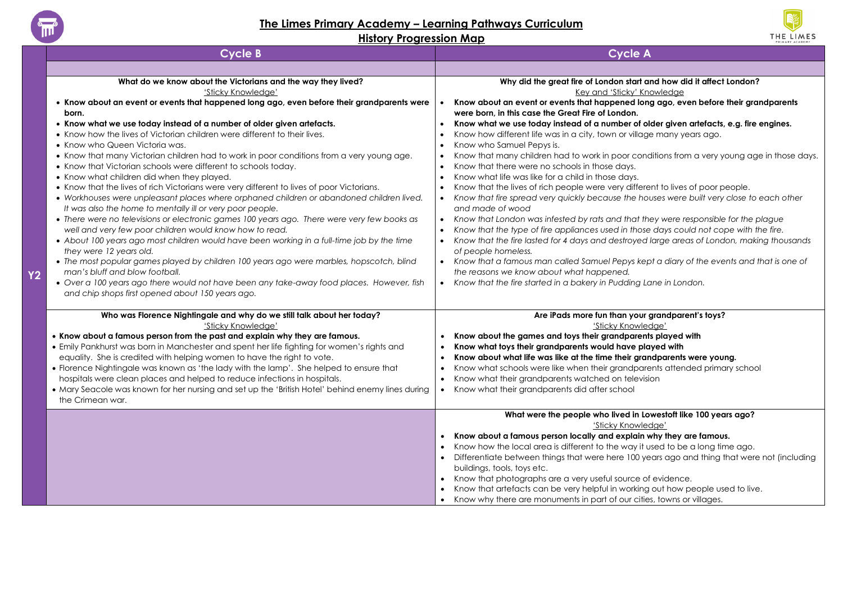

# **The Limes Primary Academy – Learning Pathways Curriculum**



|                | <b>Cycle B</b>                                                                                    | <b>Cycle A</b>                                                                                         |
|----------------|---------------------------------------------------------------------------------------------------|--------------------------------------------------------------------------------------------------------|
|                |                                                                                                   |                                                                                                        |
|                | What do we know about the Victorians and the way they lived?                                      | Why did the great fire of London start and how did it affect London?                                   |
|                | 'Sticky Knowledae'                                                                                | Key and 'Sticky' Knowledge                                                                             |
|                | • Know about an event or events that happened long ago, even before their grandparents were       | Know about an event or events that happened long ago, even before their grandparents                   |
|                | born.                                                                                             | were born, in this case the Great Fire of London.                                                      |
|                | • Know what we use today instead of a number of older given artefacts.                            | Know what we use today instead of a number of older given artefacts, e.g. fire engines.                |
|                | • Know how the lives of Victorian children were different to their lives.                         | Know how different life was in a city, town or village many years ago.                                 |
|                | • Know who Queen Victoria was.                                                                    | Know who Samuel Pepys is.                                                                              |
|                | • Know that many Victorian children had to work in poor conditions from a very young age.         | Know that many children had to work in poor conditions from a very young age in those days.            |
|                | • Know that Victorian schools were different to schools today.                                    | Know that there were no schools in those days.                                                         |
|                | • Know what children did when they played.                                                        | Know what life was like for a child in those days.                                                     |
|                | • Know that the lives of rich Victorians were very different to lives of poor Victorians.         | Know that the lives of rich people were very different to lives of poor people.                        |
|                | • Workhouses were unpleasant places where orphaned children or abandoned children lived.          | Know that fire spread very quickly because the houses were built very close to each other<br>$\bullet$ |
|                | It was also the home to mentally ill or very poor people.                                         | and made of wood                                                                                       |
|                | • There were no televisions or electronic games 100 years ago. There were very few books as       | Know that London was infested by rats and that they were responsible for the plague                    |
|                | well and very few poor children would know how to read.                                           | Know that the type of fire appliances used in those days could not cope with the fire.                 |
|                | . About 100 years ago most children would have been working in a full-time job by the time        | Know that the fire lasted for 4 days and destroyed large areas of London, making thousands             |
|                | they were 12 years old.                                                                           | of people homeless.                                                                                    |
|                | • The most popular games played by children 100 years ago were marbles, hopscotch, blind          | • Know that a famous man called Samuel Pepys kept a diary of the events and that is one of             |
| Y <sub>2</sub> | man's bluff and blow football.                                                                    | the reasons we know about what happened.                                                               |
|                | • Over a 100 years ago there would not have been any take-away food places. However, fish         | • Know that the fire started in a bakery in Pudding Lane in London.                                    |
|                | and chip shops first opened about 150 years ago.                                                  |                                                                                                        |
|                | Who was Florence Nightingale and why do we still talk about her today?                            | Are iPads more fun than your grandparent's toys?                                                       |
|                | 'Sticky Knowledge'                                                                                | 'Sticky Knowledge'                                                                                     |
|                | • Know about a famous person from the past and explain why they are famous.                       | Know about the games and toys their grandparents played with                                           |
|                | . Emily Pankhurst was born in Manchester and spent her life fighting for women's rights and       | Know what toys their grandparents would have played with                                               |
|                | equality. She is credited with helping women to have the right to vote.                           | Know about what life was like at the time their grandparents were young.                               |
|                | • Florence Nightingale was known as 'the lady with the lamp'. She helped to ensure that           | Know what schools were like when their grandparents attended primary school                            |
|                | hospitals were clean places and helped to reduce infections in hospitals.                         | Know what their grandparents watched on television                                                     |
|                | • Mary Seacole was known for her nursing and set up the 'British Hotel' behind enemy lines during | Know what their grandparents did after school<br>$\bullet$                                             |
|                | the Crimean war.                                                                                  |                                                                                                        |
|                |                                                                                                   | What were the people who lived in Lowestoft like 100 years ago?                                        |
|                |                                                                                                   | 'Sticky Knowledge'                                                                                     |
|                |                                                                                                   | Know about a famous person locally and explain why they are famous.                                    |
|                |                                                                                                   | Know how the local area is different to the way it used to be a long time ago.                         |
|                |                                                                                                   | Differentiate between things that were here 100 years ago and thing that were not (including           |
|                |                                                                                                   | buildings, tools, toys etc.                                                                            |
|                |                                                                                                   | Know that photographs are a very useful source of evidence.                                            |
|                |                                                                                                   | Know that artefacts can be very helpful in working out how people used to live.                        |
|                |                                                                                                   | Know why there are monuments in part of our cities, towns or villages.                                 |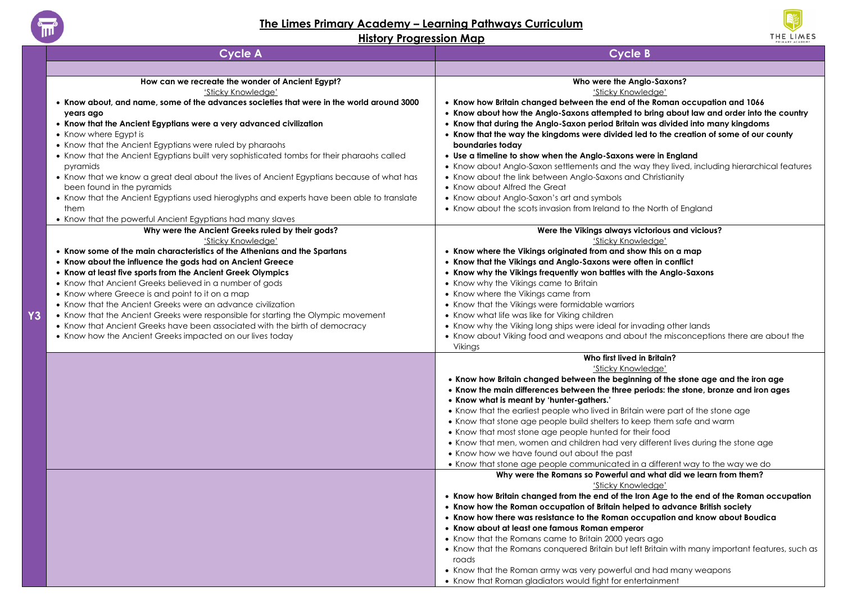

#### **The Limes Primary Academy – Learning Pathways Curriculum**



|    | <b>Cycle A</b>                                                                               | <b>Cycle B</b>                                                                                                                                                                |
|----|----------------------------------------------------------------------------------------------|-------------------------------------------------------------------------------------------------------------------------------------------------------------------------------|
|    |                                                                                              |                                                                                                                                                                               |
|    | How can we recreate the wonder of Ancient Egypt?                                             | Who were the Anglo-Saxons?                                                                                                                                                    |
|    | 'Sticky Knowledge'                                                                           | 'Sticky Knowledge'                                                                                                                                                            |
|    | • Know about, and name, some of the advances societies that were in the world around 3000    | . Know how Britain changed between the end of the Roman occupation and 1066                                                                                                   |
|    | years ago                                                                                    | • Know about how the Anglo-Saxons attempted to bring about law and order into the country<br>• Know that during the Anglo-Saxon period Britain was divided into many kingdoms |
|    | • Know that the Ancient Egyptians were a very advanced civilization<br>• Know where Egypt is | • Know that the way the kingdoms were divided led to the creation of some of our county                                                                                       |
|    | • Know that the Ancient Egyptians were ruled by pharaohs                                     | boundaries today                                                                                                                                                              |
|    | • Know that the Ancient Egyptians built very sophisticated tombs for their pharaohs called   | • Use a timeline to show when the Anglo-Saxons were in England                                                                                                                |
|    | pyramids                                                                                     | • Know about Anglo-Saxon settlements and the way they lived, including hierarchical features                                                                                  |
|    | • Know that we know a great deal about the lives of Ancient Egyptians because of what has    | • Know about the link between Anglo-Saxons and Christianity                                                                                                                   |
|    | been found in the pyramids                                                                   | • Know about Alfred the Great                                                                                                                                                 |
|    | • Know that the Ancient Egyptians used hieroglyphs and experts have been able to translate   | • Know about Anglo-Saxon's art and symbols                                                                                                                                    |
|    | them                                                                                         | • Know about the scots invasion from Ireland to the North of England                                                                                                          |
|    | • Know that the powerful Ancient Egyptians had many slaves                                   |                                                                                                                                                                               |
|    | Why were the Ancient Greeks ruled by their gods?                                             | Were the Vikings always victorious and vicious?                                                                                                                               |
|    | 'Sticky Knowledge'                                                                           | 'Sticky Knowledge'                                                                                                                                                            |
|    | • Know some of the main characteristics of the Athenians and the Spartans                    | • Know where the Vikings originated from and show this on a map                                                                                                               |
|    | • Know about the influence the gods had on Ancient Greece                                    | • Know that the Vikings and Anglo-Saxons were often in conflict                                                                                                               |
|    | • Know at least five sports from the Ancient Greek Olympics                                  | • Know why the Vikings frequently won battles with the Anglo-Saxons                                                                                                           |
|    | • Know that Ancient Greeks believed in a number of gods                                      | • Know why the Vikings came to Britain                                                                                                                                        |
|    | • Know where Greece is and point to it on a map                                              | • Know where the Vikings came from                                                                                                                                            |
|    | • Know that the Ancient Greeks were an advance civilization                                  | • Know that the Vikings were formidable warriors                                                                                                                              |
| Υ3 | • Know that the Ancient Greeks were responsible for starting the Olympic movement            | • Know what life was like for Viking children                                                                                                                                 |
|    | • Know that Ancient Greeks have been associated with the birth of democracy                  | • Know why the Viking long ships were ideal for invading other lands                                                                                                          |
|    | • Know how the Ancient Greeks impacted on our lives today                                    | • Know about Viking food and weapons and about the misconceptions there are about the                                                                                         |
|    |                                                                                              | Vikings                                                                                                                                                                       |
|    |                                                                                              | Who first lived in Britain?<br>'Sticky Knowledge'                                                                                                                             |
|    |                                                                                              | . Know how Britain changed between the beginning of the stone age and the iron age                                                                                            |
|    |                                                                                              | . Know the main differences between the three periods: the stone, bronze and iron ages                                                                                        |
|    |                                                                                              | • Know what is meant by 'hunter-gathers.'                                                                                                                                     |
|    |                                                                                              | • Know that the earliest people who lived in Britain were part of the stone age                                                                                               |
|    |                                                                                              | • Know that stone age people build shelters to keep them safe and warm                                                                                                        |
|    |                                                                                              | • Know that most stone age people hunted for their food                                                                                                                       |
|    |                                                                                              | • Know that men, women and children had very different lives during the stone age                                                                                             |
|    |                                                                                              | • Know how we have found out about the past                                                                                                                                   |
|    |                                                                                              | • Know that stone age people communicated in a different way to the way we do                                                                                                 |
|    |                                                                                              | Why were the Romans so Powerful and what did we learn from them?                                                                                                              |
|    |                                                                                              | 'Sticky Knowledge'                                                                                                                                                            |
|    |                                                                                              | • Know how Britain changed from the end of the Iron Age to the end of the Roman occupation                                                                                    |
|    |                                                                                              | • Know how the Roman occupation of Britain helped to advance British society                                                                                                  |
|    |                                                                                              | • Know how there was resistance to the Roman occupation and know about Boudica                                                                                                |
|    |                                                                                              | • Know about at least one famous Roman emperor                                                                                                                                |
|    |                                                                                              | • Know that the Romans came to Britain 2000 years ago                                                                                                                         |
|    |                                                                                              | • Know that the Romans conquered Britain but left Britain with many important features, such as                                                                               |
|    |                                                                                              | roads                                                                                                                                                                         |
|    |                                                                                              | • Know that the Roman army was very powerful and had many weapons<br>• Know that Roman gladiators would fight for entertainment                                               |
|    |                                                                                              |                                                                                                                                                                               |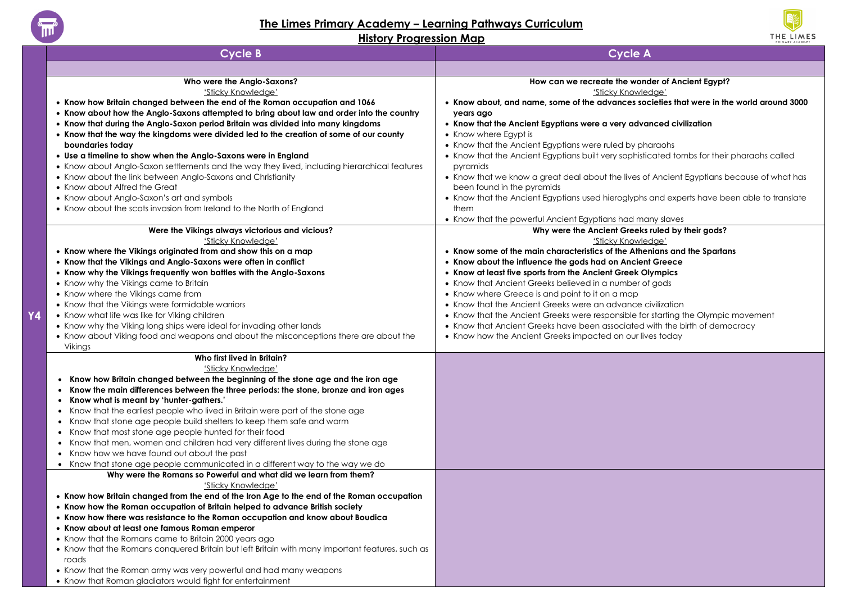

**Y4**

# **The Limes Primary Academy – Learning Pathways Curriculum**



| <b>Cycle B</b>                                                                                  | <b>Cycle A</b>                                                                                             |
|-------------------------------------------------------------------------------------------------|------------------------------------------------------------------------------------------------------------|
|                                                                                                 |                                                                                                            |
| Who were the Anglo-Saxons?                                                                      | How can we recreate the wonder of Ancient Egypt?                                                           |
| 'Sticky Knowledge'                                                                              | 'Sticky Knowledge'                                                                                         |
| . Know how Britain changed between the end of the Roman occupation and 1066                     | . Know about, and name, some of the advances societies that were in the world around 3000                  |
| • Know about how the Anglo-Saxons attempted to bring about law and order into the country       | years ago                                                                                                  |
| • Know that during the Anglo-Saxon period Britain was divided into many kingdoms                | • Know that the Ancient Egyptians were a very advanced civilization                                        |
| • Know that the way the kingdoms were divided led to the creation of some of our county         | • Know where Egypt is                                                                                      |
| boundaries today                                                                                | • Know that the Ancient Egyptians were ruled by pharaohs                                                   |
| • Use a timeline to show when the Anglo-Saxons were in England                                  | • Know that the Ancient Egyptians built very sophisticated tombs for their pharaohs called                 |
| • Know about Anglo-Saxon settlements and the way they lived, including hierarchical features    | pyramids                                                                                                   |
| • Know about the link between Anglo-Saxons and Christianity                                     | • Know that we know a great deal about the lives of Ancient Egyptians because of what has                  |
| • Know about Alfred the Great                                                                   | been found in the pyramids                                                                                 |
| • Know about Anglo-Saxon's art and symbols                                                      | • Know that the Ancient Egyptians used hieroglyphs and experts have been able to translate                 |
| • Know about the scots invasion from Ireland to the North of England                            | them                                                                                                       |
|                                                                                                 | • Know that the powerful Ancient Egyptians had many slaves                                                 |
| Were the Vikings always victorious and vicious?                                                 | Why were the Ancient Greeks ruled by their gods?                                                           |
| 'Sticky Knowledge'                                                                              | 'Sticky Knowledge'                                                                                         |
| • Know where the Vikings originated from and show this on a map                                 | • Know some of the main characteristics of the Athenians and the Spartans                                  |
| • Know that the Vikings and Anglo-Saxons were often in conflict                                 | • Know about the influence the gods had on Ancient Greece                                                  |
| • Know why the Vikings frequently won battles with the Anglo-Saxons                             | • Know at least five sports from the Ancient Greek Olympics                                                |
| • Know why the Vikings came to Britain                                                          | • Know that Ancient Greeks believed in a number of gods<br>• Know where Greece is and point to it on a map |
| • Know where the Vikings came from<br>• Know that the Vikings were formidable warriors          | • Know that the Ancient Greeks were an advance civilization                                                |
| • Know what life was like for Viking children                                                   | • Know that the Ancient Greeks were responsible for starting the Olympic movement                          |
| • Know why the Viking long ships were ideal for invading other lands                            | • Know that Ancient Greeks have been associated with the birth of democracy                                |
| • Know about Viking food and weapons and about the misconceptions there are about the           | • Know how the Ancient Greeks impacted on our lives today                                                  |
| Vikings                                                                                         |                                                                                                            |
| Who first lived in Britain?                                                                     |                                                                                                            |
| 'Sticky Knowledge'                                                                              |                                                                                                            |
| Know how Britain changed between the beginning of the stone age and the iron age                |                                                                                                            |
| Know the main differences between the three periods: the stone, bronze and iron ages<br>٠       |                                                                                                            |
| Know what is meant by 'hunter-gathers.'                                                         |                                                                                                            |
| Know that the earliest people who lived in Britain were part of the stone age                   |                                                                                                            |
| Know that stone age people build shelters to keep them safe and warm                            |                                                                                                            |
| Know that most stone age people hunted for their food                                           |                                                                                                            |
| Know that men, women and children had very different lives during the stone age                 |                                                                                                            |
| • Know how we have found out about the past                                                     |                                                                                                            |
| • Know that stone age people communicated in a different way to the way we do                   |                                                                                                            |
| Why were the Romans so Powerful and what did we learn from them?                                |                                                                                                            |
| 'Sticky Knowledge'                                                                              |                                                                                                            |
| • Know how Britain changed from the end of the Iron Age to the end of the Roman occupation      |                                                                                                            |
| • Know how the Roman occupation of Britain helped to advance British society                    |                                                                                                            |
| • Know how there was resistance to the Roman occupation and know about Boudica                  |                                                                                                            |
| • Know about at least one famous Roman emperor                                                  |                                                                                                            |
| • Know that the Romans came to Britain 2000 years ago                                           |                                                                                                            |
| • Know that the Romans conquered Britain but left Britain with many important features, such as |                                                                                                            |
| roads                                                                                           |                                                                                                            |
| • Know that the Roman army was very powerful and had many weapons                               |                                                                                                            |
| • Know that Roman gladiators would fight for entertainment                                      |                                                                                                            |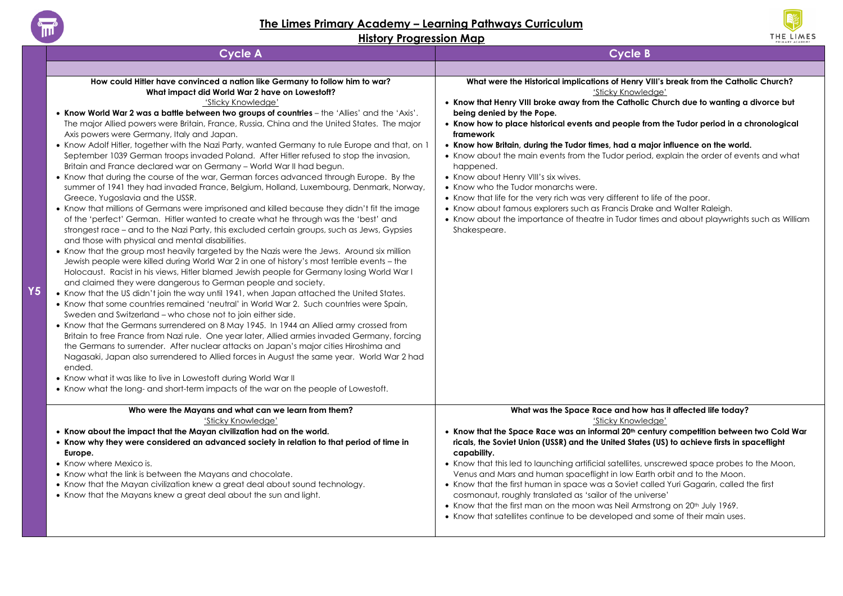

**Y5**

## **The Limes Primary Academy – Learning Pathways Curriculum**



| <b>Cycle A</b>                                                                                                                                                                                                                                                                                                                                                                                                                                                                                                                                                                                                                                                                                                                                                                                                                                                                                                                                                                                                                                                                                                                                                                                                                                                                                                                                                                                                                                                                                                                                                                                                                                                                                                                                                                                                                                                                                                                                                                                                                                                                                                                                                                                                                                                                                                                                                                                                          | <b>Cycle B</b>                                                                                                                                                                                                                                                                                                                                                                                                                                                                                                                                                                                                                                                                                                                                                                                                                                                                                   |
|-------------------------------------------------------------------------------------------------------------------------------------------------------------------------------------------------------------------------------------------------------------------------------------------------------------------------------------------------------------------------------------------------------------------------------------------------------------------------------------------------------------------------------------------------------------------------------------------------------------------------------------------------------------------------------------------------------------------------------------------------------------------------------------------------------------------------------------------------------------------------------------------------------------------------------------------------------------------------------------------------------------------------------------------------------------------------------------------------------------------------------------------------------------------------------------------------------------------------------------------------------------------------------------------------------------------------------------------------------------------------------------------------------------------------------------------------------------------------------------------------------------------------------------------------------------------------------------------------------------------------------------------------------------------------------------------------------------------------------------------------------------------------------------------------------------------------------------------------------------------------------------------------------------------------------------------------------------------------------------------------------------------------------------------------------------------------------------------------------------------------------------------------------------------------------------------------------------------------------------------------------------------------------------------------------------------------------------------------------------------------------------------------------------------------|--------------------------------------------------------------------------------------------------------------------------------------------------------------------------------------------------------------------------------------------------------------------------------------------------------------------------------------------------------------------------------------------------------------------------------------------------------------------------------------------------------------------------------------------------------------------------------------------------------------------------------------------------------------------------------------------------------------------------------------------------------------------------------------------------------------------------------------------------------------------------------------------------|
|                                                                                                                                                                                                                                                                                                                                                                                                                                                                                                                                                                                                                                                                                                                                                                                                                                                                                                                                                                                                                                                                                                                                                                                                                                                                                                                                                                                                                                                                                                                                                                                                                                                                                                                                                                                                                                                                                                                                                                                                                                                                                                                                                                                                                                                                                                                                                                                                                         |                                                                                                                                                                                                                                                                                                                                                                                                                                                                                                                                                                                                                                                                                                                                                                                                                                                                                                  |
| How could Hitler have convinced a nation like Germany to follow him to war?<br>What impact did World War 2 have on Lowestoft?<br>'Sticky Knowledge'<br>. Know World War 2 was a battle between two groups of countries - the 'Allies' and the 'Axis'.<br>The major Allied powers were Britain, France, Russia, China and the United States. The major<br>Axis powers were Germany, Italy and Japan.<br>• Know Adolf Hitler, together with the Nazi Party, wanted Germany to rule Europe and that, on 1<br>September 1039 German troops invaded Poland. After Hitler refused to stop the invasion,<br>Britain and France declared war on Germany - World War II had begun.<br>• Know that during the course of the war, German forces advanced through Europe. By the<br>summer of 1941 they had invaded France, Belgium, Holland, Luxembourg, Denmark, Norway,<br>Greece, Yugoslavia and the USSR.<br>• Know that millions of Germans were imprisoned and killed because they didn't fit the image<br>of the 'perfect' German. Hitler wanted to create what he through was the 'best' and<br>strongest race – and to the Nazi Party, this excluded certain groups, such as Jews, Gypsies<br>and those with physical and mental disabilities.<br>• Know that the group most heavily targeted by the Nazis were the Jews. Around six million<br>Jewish people were killed during World War 2 in one of history's most terrible events - the<br>Holocaust. Racist in his views, Hitler blamed Jewish people for Germany losing World War I<br>and claimed they were dangerous to German people and society.<br>• Know that the US didn't join the way until 1941, when Japan attached the United States.<br>• Know that some countries remained 'neutral' in World War 2. Such countries were Spain,<br>Sweden and Switzerland - who chose not to join either side.<br>• Know that the Germans surrendered on 8 May 1945. In 1944 an Allied army crossed from<br>Britain to free France from Nazi rule. One year later, Allied armies invaded Germany, forcing<br>the Germans to surrender. After nuclear attacks on Japan's major cities Hiroshima and<br>Nagasaki, Japan also surrendered to Allied forces in August the same year. World War 2 had<br>ended.<br>• Know what it was like to live in Lowestoft during World War II<br>• Know what the long- and short-term impacts of the war on the people of Lowestoft. | What were the Historical implications of Henry VIII's break from the Catholic Church?<br>'Sticky Knowledge'<br>• Know that Henry VIII broke away from the Catholic Church due to wanting a divorce but<br>being denied by the Pope.<br>• Know how to place historical events and people from the Tudor period in a chronological<br>framework<br>• Know how Britain, during the Tudor times, had a major influence on the world.<br>• Know about the main events from the Tudor period, explain the order of events and what<br>happened.<br>• Know about Henry VIII's six wives.<br>• Know who the Tudor monarchs were.<br>• Know that life for the very rich was very different to life of the poor.<br>• Know about famous explorers such as Francis Drake and Walter Raleigh.<br>• Know about the importance of theatre in Tudor times and about playwrights such as William<br>Shakespeare. |
| Who were the Mayans and what can we learn from them?<br>'Sticky Knowledae'                                                                                                                                                                                                                                                                                                                                                                                                                                                                                                                                                                                                                                                                                                                                                                                                                                                                                                                                                                                                                                                                                                                                                                                                                                                                                                                                                                                                                                                                                                                                                                                                                                                                                                                                                                                                                                                                                                                                                                                                                                                                                                                                                                                                                                                                                                                                              | What was the Space Race and how has it affected life today?<br>'Sticky Knowledae'                                                                                                                                                                                                                                                                                                                                                                                                                                                                                                                                                                                                                                                                                                                                                                                                                |
| • Know about the impact that the Mayan civilization had on the world.<br>• Know why they were considered an advanced society in relation to that period of time in<br>Europe.<br>• Know where Mexico is.<br>• Know what the link is between the Mayans and chocolate.<br>• Know that the Mayan civilization knew a great deal about sound technology.<br>• Know that the Mayans knew a great deal about the sun and light.                                                                                                                                                                                                                                                                                                                                                                                                                                                                                                                                                                                                                                                                                                                                                                                                                                                                                                                                                                                                                                                                                                                                                                                                                                                                                                                                                                                                                                                                                                                                                                                                                                                                                                                                                                                                                                                                                                                                                                                              | . Know that the Space Race was an informal 20th century competition between two Cold War<br>ricals, the Soviet Union (USSR) and the United States (US) to achieve firsts in spaceflight<br>capability.<br>• Know that this led to launching artificial satellites, unscrewed space probes to the Moon,<br>Venus and Mars and human spaceflight in low Earth orbit and to the Moon.<br>• Know that the first human in space was a Soviet called Yuri Gagarin, called the first<br>cosmonaut, roughly translated as 'sailor of the universe'<br>• Know that the first man on the moon was Neil Armstrong on 20th July 1969.<br>• Know that satellites continue to be developed and some of their main uses.                                                                                                                                                                                        |